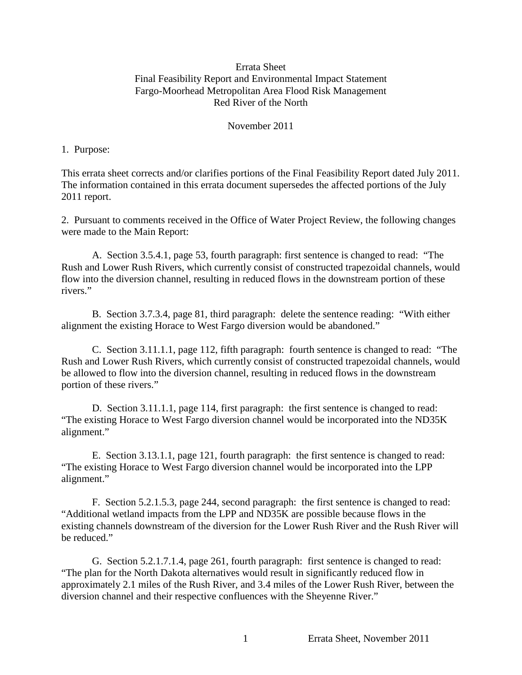### Errata Sheet Final Feasibility Report and Environmental Impact Statement Fargo-Moorhead Metropolitan Area Flood Risk Management Red River of the North

#### November 2011

#### 1. Purpose:

This errata sheet corrects and/or clarifies portions of the Final Feasibility Report dated July 2011. The information contained in this errata document supersedes the affected portions of the July 2011 report.

2. Pursuant to comments received in the Office of Water Project Review, the following changes were made to the Main Report:

A. Section 3.5.4.1, page 53, fourth paragraph: first sentence is changed to read: "The Rush and Lower Rush Rivers, which currently consist of constructed trapezoidal channels, would flow into the diversion channel, resulting in reduced flows in the downstream portion of these rivers."

B. Section 3.7.3.4, page 81, third paragraph: delete the sentence reading: "With either alignment the existing Horace to West Fargo diversion would be abandoned."

C. Section 3.11.1.1, page 112, fifth paragraph: fourth sentence is changed to read: "The Rush and Lower Rush Rivers, which currently consist of constructed trapezoidal channels, would be allowed to flow into the diversion channel, resulting in reduced flows in the downstream portion of these rivers."

D. Section 3.11.1.1, page 114, first paragraph: the first sentence is changed to read: "The existing Horace to West Fargo diversion channel would be incorporated into the ND35K alignment."

E. Section 3.13.1.1, page 121, fourth paragraph: the first sentence is changed to read: "The existing Horace to West Fargo diversion channel would be incorporated into the LPP alignment."

F. Section 5.2.1.5.3, page 244, second paragraph: the first sentence is changed to read: "Additional wetland impacts from the LPP and ND35K are possible because flows in the existing channels downstream of the diversion for the Lower Rush River and the Rush River will be reduced."

G. Section 5.2.1.7.1.4, page 261, fourth paragraph: first sentence is changed to read: "The plan for the North Dakota alternatives would result in significantly reduced flow in approximately 2.1 miles of the Rush River, and 3.4 miles of the Lower Rush River, between the diversion channel and their respective confluences with the Sheyenne River."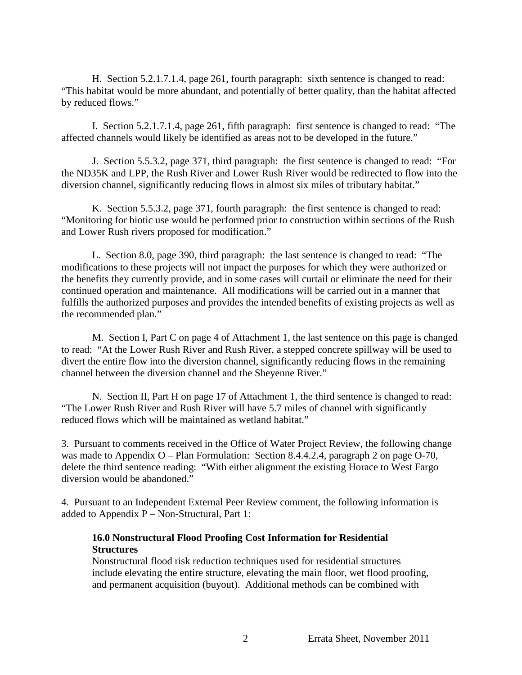H. Section 5.2.1.7.1.4, page 261, fourth paragraph: sixth sentence is changed to read: "This habitat would be more abundant, and potentially of better quality, than the habitat affected by reduced flows."

I. Section 5.2.1.7.1.4, page 261, fifth paragraph: first sentence is changed to read: "The affected channels would likely be identified as areas not to be developed in the future."

J. Section 5.5.3.2, page 371, third paragraph: the first sentence is changed to read: "For the ND35K and LPP, the Rush River and Lower Rush River would be redirected to flow into the diversion channel, significantly reducing flows in almost six miles of tributary habitat."

K. Section 5.5.3.2, page 371, fourth paragraph: the first sentence is changed to read: "Monitoring for biotic use would be performed prior to construction within sections of the Rush and Lower Rush rivers proposed for modification."

L. Section 8.0, page 390, third paragraph: the last sentence is changed to read: "The modifications to these projects will not impact the purposes for which they were authorized or the benefits they currently provide, and in some cases will curtail or eliminate the need for their continued operation and maintenance. All modifications will be carried out in a manner that fulfills the authorized purposes and provides the intended benefits of existing projects as well as the recommended plan."

M. Section I, Part C on page 4 of Attachment 1, the last sentence on this page is changed to read: "At the Lower Rush River and Rush River, a stepped concrete spillway will be used to divert the entire flow into the diversion channel, significantly reducing flows in the remaining channel between the diversion channel and the Sheyenne River."

N. Section II, Part H on page 17 of Attachment 1, the third sentence is changed to read: "The Lower Rush River and Rush River will have 5.7 miles of channel with significantly reduced flows which will be maintained as wetland habitat."

3. Pursuant to comments received in the Office of Water Project Review, the following change was made to Appendix O – Plan Formulation: Section 8.4.4.2.4, paragraph 2 on page O-70, delete the third sentence reading: "With either alignment the existing Horace to West Fargo diversion would be abandoned."

4. Pursuant to an Independent External Peer Review comment, the following information is added to Appendix P – Non-Structural, Part 1:

### **16.0 Nonstructural Flood Proofing Cost Information for Residential Structures**

Nonstructural flood risk reduction techniques used for residential structures include elevating the entire structure, elevating the main floor, wet flood proofing, and permanent acquisition (buyout). Additional methods can be combined with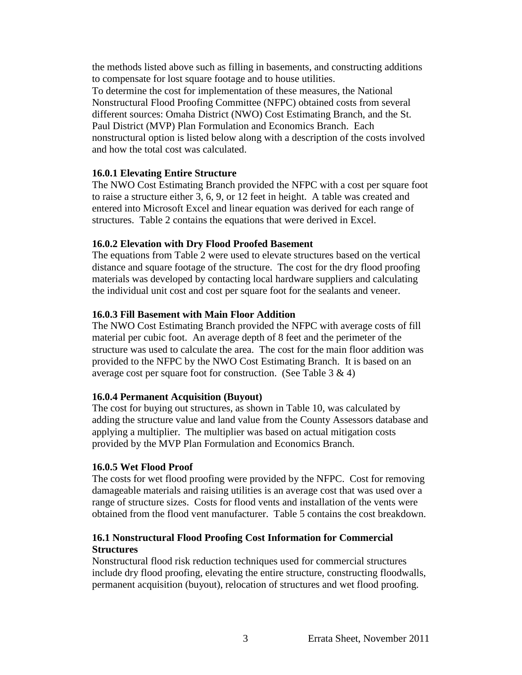the methods listed above such as filling in basements, and constructing additions to compensate for lost square footage and to house utilities.

To determine the cost for implementation of these measures, the National Nonstructural Flood Proofing Committee (NFPC) obtained costs from several different sources: Omaha District (NWO) Cost Estimating Branch, and the St. Paul District (MVP) Plan Formulation and Economics Branch. Each nonstructural option is listed below along with a description of the costs involved and how the total cost was calculated.

# **16.0.1 Elevating Entire Structure**

The NWO Cost Estimating Branch provided the NFPC with a cost per square foot to raise a structure either 3, 6, 9, or 12 feet in height. A table was created and entered into Microsoft Excel and linear equation was derived for each range of structures. Table 2 contains the equations that were derived in Excel.

# **16.0.2 Elevation with Dry Flood Proofed Basement**

The equations from Table 2 were used to elevate structures based on the vertical distance and square footage of the structure. The cost for the dry flood proofing materials was developed by contacting local hardware suppliers and calculating the individual unit cost and cost per square foot for the sealants and veneer.

# **16.0.3 Fill Basement with Main Floor Addition**

The NWO Cost Estimating Branch provided the NFPC with average costs of fill material per cubic foot. An average depth of 8 feet and the perimeter of the structure was used to calculate the area. The cost for the main floor addition was provided to the NFPC by the NWO Cost Estimating Branch. It is based on an average cost per square foot for construction. (See Table  $3 \& 4$ )

# **16.0.4 Permanent Acquisition (Buyout)**

The cost for buying out structures, as shown in Table 10, was calculated by adding the structure value and land value from the County Assessors database and applying a multiplier. The multiplier was based on actual mitigation costs provided by the MVP Plan Formulation and Economics Branch.

# **16.0.5 Wet Flood Proof**

The costs for wet flood proofing were provided by the NFPC. Cost for removing damageable materials and raising utilities is an average cost that was used over a range of structure sizes. Costs for flood vents and installation of the vents were obtained from the flood vent manufacturer. Table 5 contains the cost breakdown.

# **16.1 Nonstructural Flood Proofing Cost Information for Commercial Structures**

Nonstructural flood risk reduction techniques used for commercial structures include dry flood proofing, elevating the entire structure, constructing floodwalls, permanent acquisition (buyout), relocation of structures and wet flood proofing.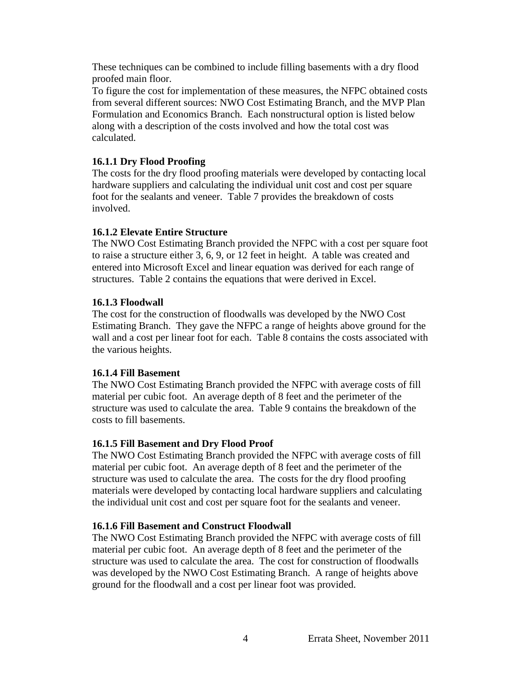These techniques can be combined to include filling basements with a dry flood proofed main floor.

To figure the cost for implementation of these measures, the NFPC obtained costs from several different sources: NWO Cost Estimating Branch, and the MVP Plan Formulation and Economics Branch. Each nonstructural option is listed below along with a description of the costs involved and how the total cost was calculated.

### **16.1.1 Dry Flood Proofing**

The costs for the dry flood proofing materials were developed by contacting local hardware suppliers and calculating the individual unit cost and cost per square foot for the sealants and veneer. Table 7 provides the breakdown of costs involved.

### **16.1.2 Elevate Entire Structure**

The NWO Cost Estimating Branch provided the NFPC with a cost per square foot to raise a structure either 3, 6, 9, or 12 feet in height. A table was created and entered into Microsoft Excel and linear equation was derived for each range of structures. Table 2 contains the equations that were derived in Excel.

### **16.1.3 Floodwall**

The cost for the construction of floodwalls was developed by the NWO Cost Estimating Branch. They gave the NFPC a range of heights above ground for the wall and a cost per linear foot for each. Table 8 contains the costs associated with the various heights.

### **16.1.4 Fill Basement**

The NWO Cost Estimating Branch provided the NFPC with average costs of fill material per cubic foot. An average depth of 8 feet and the perimeter of the structure was used to calculate the area. Table 9 contains the breakdown of the costs to fill basements.

### **16.1.5 Fill Basement and Dry Flood Proof**

The NWO Cost Estimating Branch provided the NFPC with average costs of fill material per cubic foot. An average depth of 8 feet and the perimeter of the structure was used to calculate the area. The costs for the dry flood proofing materials were developed by contacting local hardware suppliers and calculating the individual unit cost and cost per square foot for the sealants and veneer.

### **16.1.6 Fill Basement and Construct Floodwall**

The NWO Cost Estimating Branch provided the NFPC with average costs of fill material per cubic foot. An average depth of 8 feet and the perimeter of the structure was used to calculate the area. The cost for construction of floodwalls was developed by the NWO Cost Estimating Branch. A range of heights above ground for the floodwall and a cost per linear foot was provided.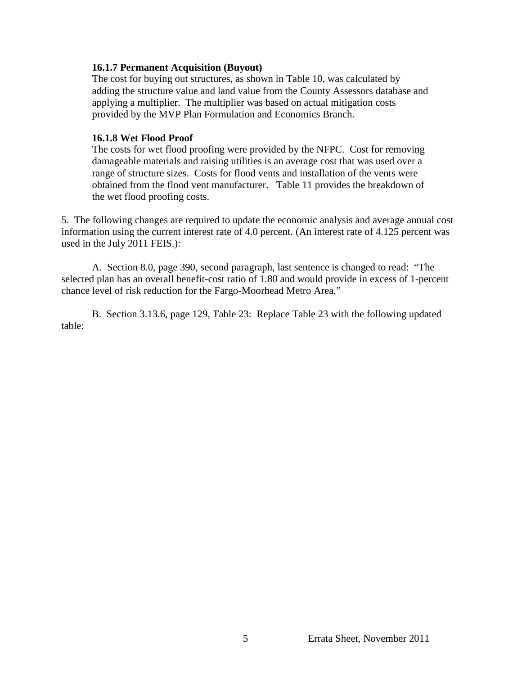### **16.1.7 Permanent Acquisition (Buyout)**

The cost for buying out structures, as shown in Table 10, was calculated by adding the structure value and land value from the County Assessors database and applying a multiplier. The multiplier was based on actual mitigation costs provided by the MVP Plan Formulation and Economics Branch.

#### **16.1.8 Wet Flood Proof**

The costs for wet flood proofing were provided by the NFPC. Cost for removing damageable materials and raising utilities is an average cost that was used over a range of structure sizes. Costs for flood vents and installation of the vents were obtained from the flood vent manufacturer. Table 11 provides the breakdown of the wet flood proofing costs.

5. The following changes are required to update the economic analysis and average annual cost information using the current interest rate of 4.0 percent. (An interest rate of 4.125 percent was used in the July 2011 FEIS.):

A. Section 8.0, page 390, second paragraph, last sentence is changed to read: "The selected plan has an overall benefit-cost ratio of 1.80 and would provide in excess of 1-percent chance level of risk reduction for the Fargo-Moorhead Metro Area."

B. Section 3.13.6, page 129, Table 23: Replace Table 23 with the following updated table: